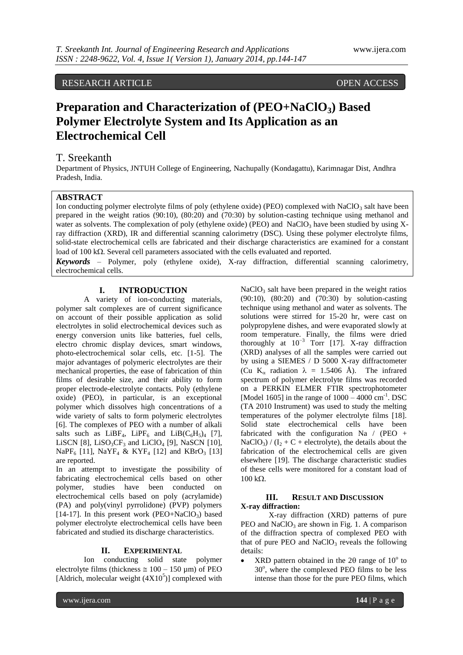RESEARCH ARTICLE OPEN ACCESS

# **Preparation and Characterization of (PEO+NaClO3) Based Polymer Electrolyte System and Its Application as an Electrochemical Cell**

# T. Sreekanth

Department of Physics, JNTUH College of Engineering, Nachupally (Kondagattu), Karimnagar Dist, Andhra Pradesh, India.

## **ABSTRACT**

Ion conducting polymer electrolyte films of poly (ethylene oxide) (PEO) complexed with NaClO<sub>3</sub> salt have been prepared in the weight ratios (90:10), (80:20) and (70:30) by solution-casting technique using methanol and water as solvents. The complexation of poly (ethylene oxide) (PEO) and NaClO<sub>3</sub> have been studied by using Xray diffraction (XRD), IR and differential scanning calorimetry (DSC). Using these polymer electrolyte films, solid-state electrochemical cells are fabricated and their discharge characteristics are examined for a constant load of 100 k $\Omega$ . Several cell parameters associated with the cells evaluated and reported.

*Keywords* – Polymer, poly (ethylene oxide), X-ray diffraction, differential scanning calorimetry, electrochemical cells.

# **I. INTRODUCTION**

A variety of ion-conducting materials, polymer salt complexes are of current significance on account of their possible application as solid electrolytes in solid electrochemical devices such as energy conversion units like batteries, fuel cells, electro chromic display devices, smart windows, photo-electrochemical solar cells, etc. [1-5]. The major advantages of polymeric electrolytes are their mechanical properties, the ease of fabrication of thin films of desirable size, and their ability to form proper electrode-electrolyte contacts. Poly (ethylene oxide) (PEO), in particular, is an exceptional polymer which dissolves high concentrations of a wide variety of salts to form polymeric electrolytes [6]. The complexes of PEO with a number of alkali salts such as  $LiBF_4$ ,  $LiPF_6$  and  $LiB(C_6H_5)_4$  [7], LiSCN [8], LiSO<sub>3</sub>CF<sub>3</sub> and LiClO<sub>4</sub> [9], NaSCN [10], NaPF<sub>6</sub> [11], NaYF<sub>4</sub> & KYF<sub>4</sub> [12] and KBrO<sub>3</sub> [13] are reported.

In an attempt to investigate the possibility of fabricating electrochemical cells based on other polymer, studies have been conducted on electrochemical cells based on poly (acrylamide) (PA) and poly(vinyl pyrrolidone) (PVP) polymers [14-17]. In this present work (PEO+NaClO<sub>3</sub>) based polymer electrolyte electrochemical cells have been fabricated and studied its discharge characteristics.

## **II. EXPERIMENTAL**

Ion conducting solid state polymer electrolyte films (thickness  $\approx 100 - 150 \text{ }\mu\text{m}$ ) of PEO [Aldrich, molecular weight  $(4X10<sup>5</sup>)$ ] complexed with  $NaClO<sub>3</sub>$  salt have been prepared in the weight ratios (90:10), (80:20) and (70:30) by solution-casting technique using methanol and water as solvents. The solutions were stirred for 15-20 hr, were cast on polypropylene dishes, and were evaporated slowly at room temperature. Finally, the films were dried thoroughly at  $10^{-3}$  Torr [17]. X-ray diffraction (XRD) analyses of all the samples were carried out by using a SIEMES / D 5000 X-ray diffractometer (Cu K<sub>a</sub> radiation  $\lambda = 1.5406$  Å). The infrared spectrum of polymer electrolyte films was recorded on a PERKIN ELMER FTIR spectrophotometer [Model 1605] in the range of  $1000 - 4000$  cm<sup>-1</sup>. DSC (TA 2010 Instrument) was used to study the melting temperatures of the polymer electrolyte films [18]. Solid state electrochemical cells have been fabricated with the configuration Na  $/$  (PEO + NaClO<sub>3</sub>) /  $(I_2 + C +$  electrolyte), the details about the fabrication of the electrochemical cells are given elsewhere [19]. The discharge characteristic studies of these cells were monitored for a constant load of  $100 k\Omega$ .

# **III. RESULT AND DISCUSSION X-ray diffraction:**

X-ray diffraction (XRD) patterns of pure PEO and  $NaClO<sub>3</sub>$  are shown in Fig. 1. A comparison of the diffraction spectra of complexed PEO with that of pure PEO and  $NaClO<sub>3</sub>$  reveals the following details:

• XRD pattern obtained in the  $2\theta$  range of  $10^{\circ}$  to 30°, where the complexed PEO films to be less intense than those for the pure PEO films, which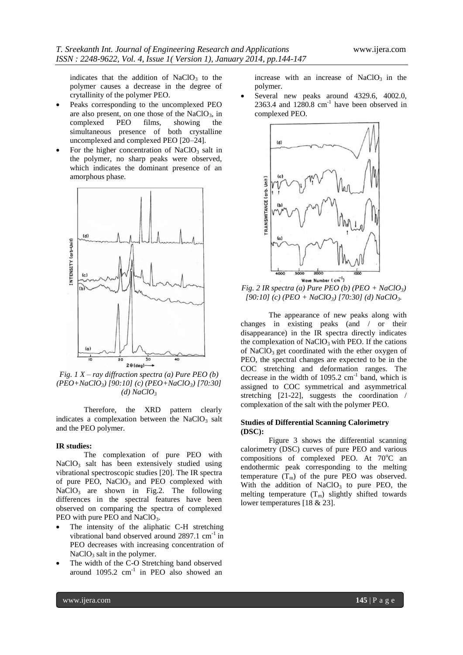indicates that the addition of  $NaClO<sub>3</sub>$  to the polymer causes a decrease in the degree of crytallinity of the polymer PEO.

- Peaks corresponding to the uncomplexed PEO are also present, on one those of the NaClO<sub>3</sub>, in complexed PEO films, showing the complexed simultaneous presence of both crystalline uncomplexed and complexed PEO [20–24].
- For the higher concentration of  $NaClO<sub>3</sub>$  salt in the polymer, no sharp peaks were observed, which indicates the dominant presence of an amorphous phase.



*Fig. 1 X – ray diffraction spectra (a) Pure PEO (b) (PEO+NaClO3) [90:10] (c) (PEO+NaClO3) [70:30]*   $(d)$  *NaClO*<sup>3</sup>

Therefore, the XRD pattern clearly indicates a complexation between the  $NaClO<sub>3</sub>$  salt and the PEO polymer.

## **IR studies:**

The complexation of pure PEO with NaClO<sub>3</sub> salt has been extensively studied using vibrational spectroscopic studies [20]. The IR spectra of pure PEO,  $NaClO<sub>3</sub>$  and PEO complexed with  $NaClO<sub>3</sub>$  are shown in Fig.2. The following differences in the spectral features have been observed on comparing the spectra of complexed PEO with pure PEO and NaClO<sub>3</sub>.

- The intensity of the aliphatic C-H stretching vibrational band observed around  $2897.1 \text{ cm}^{-1}$  in PEO decreases with increasing concentration of  $NaClO<sub>3</sub>$  salt in the polymer.
- The width of the C-O Stretching band observed around  $1095.2$  cm<sup>-1</sup> in PEO also showed an

increase with an increase of  $NaClO<sub>3</sub>$  in the polymer.

 Several new peaks around 4329.6, 4002.0,  $2363.4$  and  $1280.8$  cm<sup>-1</sup> have been observed in complexed PEO.



*Fig. 2 IR spectra (a) Pure PEO (b) (PEO +*  $NaClO<sub>3</sub>$ *) [90:10] (c) (PEO + NaClO3) [70:30] (d) NaClO3.*

The appearance of new peaks along with changes in existing peaks (and / or their disappearance) in the IR spectra directly indicates the complexation of  $NaClO<sub>3</sub>$  with PEO. If the cations of  $NaClO<sub>3</sub>$  get coordinated with the ether oxygen of PEO, the spectral changes are expected to be in the COC stretching and deformation ranges. The decrease in the width of  $1095.2 \text{ cm}^{-1}$  band, which is assigned to COC symmetrical and asymmetrical stretching [21-22], suggests the coordination / complexation of the salt with the polymer PEO.

### **Studies of Differential Scanning Calorimetry (DSC):**

Figure 3 shows the differential scanning calorimetry (DSC) curves of pure PEO and various compositions of complexed PEO. At 70°C an endothermic peak corresponding to the melting temperature  $(T_m)$  of the pure PEO was observed. With the addition of  $NaClO<sub>3</sub>$  to pure PEO, the melting temperature  $(T_m)$  slightly shifted towards lower temperatures [18 & 23].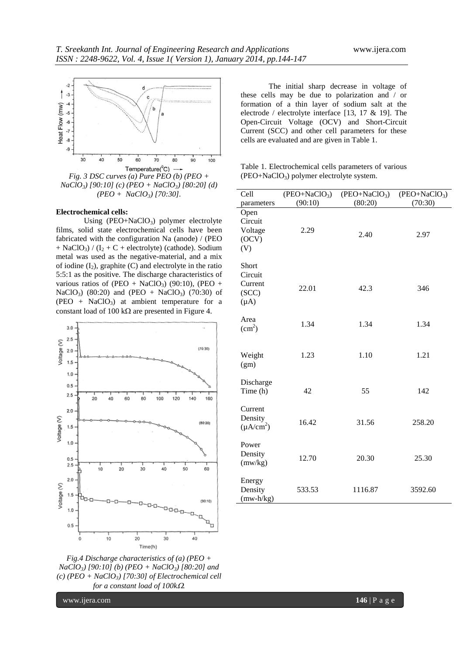

*Fig. 3 DSC curves (a) Pure PEO (b) (PEO + NaClO3) [90:10] (c) (PEO + NaClO3) [80:20] (d) (PEO + NaClO3) [70:30].*

#### **Electrochemical cells:**

Using (PEO+NaClO3) polymer electrolyte films, solid state electrochemical cells have been fabricated with the configuration Na (anode) / (PEO + NaClO<sub>3</sub>) /  $(I_2 + C + \text{electrolyte})$  (cathode). Sodium metal was used as the negative-material, and a mix of iodine  $(I_2)$ , graphite  $(C)$  and electrolyte in the ratio 5:5:1 as the positive. The discharge characteristics of various ratios of (PEO + NaClO<sub>3</sub>) (90:10), (PEO + NaClO<sub>3</sub>) (80:20) and (PEO + NaClO<sub>3</sub>) (70:30) of  $(PEO + NaClO<sub>3</sub>)$  at ambient temperature for a constant load of 100 k $\Omega$  are presented in Figure 4.



*Fig.4 Discharge characteristics of (a) (PEO + NaClO3) [90:10] (b) (PEO + NaClO3) [80:20] and (c) (PEO + NaClO3) [70:30] of Electrochemical cell for a constant load of 100k.*

www.ijera.com **146** | P a g e

The initial sharp decrease in voltage of these cells may be due to polarization and / or formation of a thin layer of sodium salt at the electrode / electrolyte interface [13, 17 & 19]. The Open-Circuit Voltage (OCV) and Short-Circuit Current (SCC) and other cell parameters for these cells are evaluated and are given in Table 1.

Table 1. Electrochemical cells parameters of various  $(PEO+NaClO<sub>3</sub>)$  polymer electrolyte system.

| Cell                                              | $(PEO+NaClO3)$ | $(PEO+NaClO3)$ | $(PEO+NaClO3)$ |
|---------------------------------------------------|----------------|----------------|----------------|
| parameters                                        | (90:10)        | (80:20)        | (70:30)        |
| Open<br>Circuit<br>Voltage<br>(OCV)<br>(V)        | 2.29           | 2.40           | 2.97           |
| Short<br>Circuit<br>Current<br>(SCC)<br>$(\mu A)$ | 22.01          | 42.3           | 346            |
| Area<br>$\text{(cm}^2\text{)}$                    | 1.34           | 1.34           | 1.34           |
| Weight<br>(gm)                                    | 1.23           | 1.10           | 1.21           |
| Discharge<br>Time (h)                             | 42             | 55             | 142            |
| Current<br>Density<br>$(\mu A/cm^2)$              | 16.42          | 31.56          | 258.20         |
| Power<br>Density<br>(mw/kg)                       | 12.70          | 20.30          | 25.30          |
| Energy<br>Density<br>$(mw-h/kg)$                  | 533.53         | 1116.87        | 3592.60        |